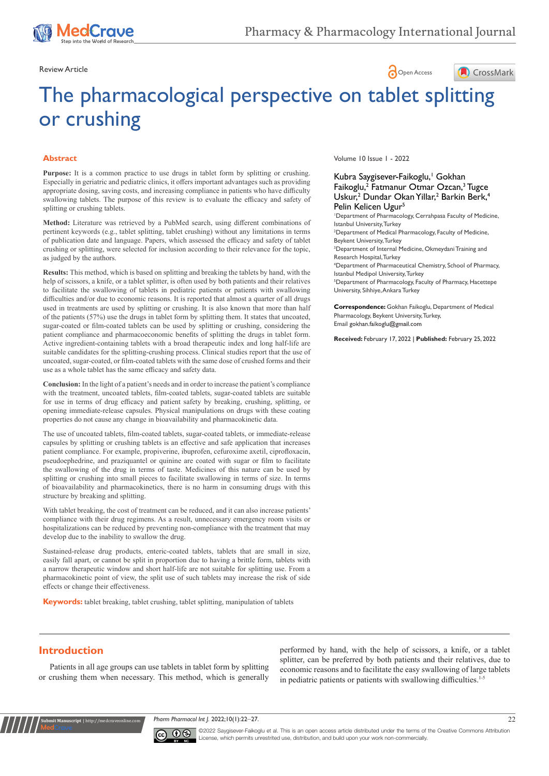# Review Article **Contract Contract Contract Contract Contract Contract Contract Contract Contract Contract Contract Contract Contract Contract Contract Contract Contract Contract Contract Contract Contract Contract Contract**



# The pharmacological perspective on tablet splitting or crushing

#### **Abstract**

**Purpose:** It is a common practice to use drugs in tablet form by splitting or crushing. Especially in geriatric and pediatric clinics, it offers important advantages such as providing appropriate dosing, saving costs, and increasing compliance in patients who have difficulty swallowing tablets. The purpose of this review is to evaluate the efficacy and safety of splitting or crushing tablets.

**Method:** Literature was retrieved by a PubMed search, using different combinations of pertinent keywords (e.g., tablet splitting, tablet crushing) without any limitations in terms of publication date and language. Papers, which assessed the efficacy and safety of tablet crushing or splitting, were selected for inclusion according to their relevance for the topic, as judged by the authors.

**Results:** This method, which is based on splitting and breaking the tablets by hand, with the help of scissors, a knife, or a tablet splitter, is often used by both patients and their relatives to facilitate the swallowing of tablets in pediatric patients or patients with swallowing difficulties and/or due to economic reasons. It is reported that almost a quarter of all drugs used in treatments are used by splitting or crushing. It is also known that more than half of the patients (57%) use the drugs in tablet form by splitting them. It states that uncoated, sugar-coated or film-coated tablets can be used by splitting or crushing, considering the patient compliance and pharmacoeconomic benefits of splitting the drugs in tablet form. Active ingredient-containing tablets with a broad therapeutic index and long half-life are suitable candidates for the splitting-crushing process. Clinical studies report that the use of uncoated, sugar-coated, or film-coated tablets with the same dose of crushed forms and their use as a whole tablet has the same efficacy and safety data.

**Conclusion:** In the light of a patient's needs and in order to increase the patient's compliance with the treatment, uncoated tablets, film-coated tablets, sugar-coated tablets are suitable for use in terms of drug efficacy and patient safety by breaking, crushing, splitting, or opening immediate-release capsules. Physical manipulations on drugs with these coating properties do not cause any change in bioavailability and pharmacokinetic data.

The use of uncoated tablets, film-coated tablets, sugar-coated tablets, or immediate-release capsules by splitting or crushing tablets is an effective and safe application that increases patient compliance. For example, propiverine, ibuprofen, cefuroxime axetil, ciprofloxacin, pseudoephedrine, and praziquantel or quinine are coated with sugar or film to facilitate the swallowing of the drug in terms of taste. Medicines of this nature can be used by splitting or crushing into small pieces to facilitate swallowing in terms of size. In terms of bioavailability and pharmacokinetics, there is no harm in consuming drugs with this structure by breaking and splitting.

With tablet breaking, the cost of treatment can be reduced, and it can also increase patients' compliance with their drug regimens. As a result, unnecessary emergency room visits or hospitalizations can be reduced by preventing non-compliance with the treatment that may develop due to the inability to swallow the drug.

Sustained-release drug products, enteric-coated tablets, tablets that are small in size, easily fall apart, or cannot be split in proportion due to having a brittle form, tablets with a narrow therapeutic window and short half-life are not suitable for splitting use. From a pharmacokinetic point of view, the split use of such tablets may increase the risk of side effects or change their effectiveness.

**Keywords:** tablet breaking, tablet crushing, tablet splitting, manipulation of tablets

Volume 10 Issue 1 - 2022

### Kubra Saygisever-Faikoglu,<sup>1</sup> Gokhan Faikoglu,<sup>2</sup> Fatmanur Otmar Ozcan,<sup>3</sup> Tugce Uskur,<sup>2</sup> Dundar Okan Yillar,<sup>2</sup> Barkin Berk,<sup>4</sup> Pelin Kelicen Ugur<sup>5</sup>

1 Department of Pharmacology, Cerrahpasa Faculty of Medicine, Istanbul University, Turkey 2 Department of Medical Pharmacology, Faculty of Medicine,

Beykent University, Turkey 3 Department of Internal Medicine, Okmeydani Training and

Research Hospital, Turkey 4 Department of Pharmaceutical Chemistry, School of Pharmacy, Istanbul Medipol University, Turkey

5 Department of Pharmacology, Faculty of Pharmacy, Hacettepe University, Sihhiye, Ankara Turkey

**Correspondence:** Gokhan Faikoglu, Department of Medical Pharmacology, Beykent University, Turkey, Email gokhan.faikoglu@gmail.com

**Received:** February 17, 2022 | **Published:** February 25, 2022

# **Introduction**

**it Manuscript** | http://medcrav

Patients in all age groups can use tablets in tablet form by splitting or crushing them when necessary. This method, which is generally

performed by hand, with the help of scissors, a knife, or a tablet splitter, can be preferred by both patients and their relatives, due to economic reasons and to facilitate the easy swallowing of large tablets in pediatric patients or patients with swallowing difficulties.<sup>1-5</sup>

*Pharm Pharmacol Int J.* 2022;10(1):22‒27. 22



©2022 Saygisever-Faikoglu et al. This is an open access article distributed under the terms of the Creative Commons Attribution License, which permits unrestrited use, distribution, and build upon your work non-commercially.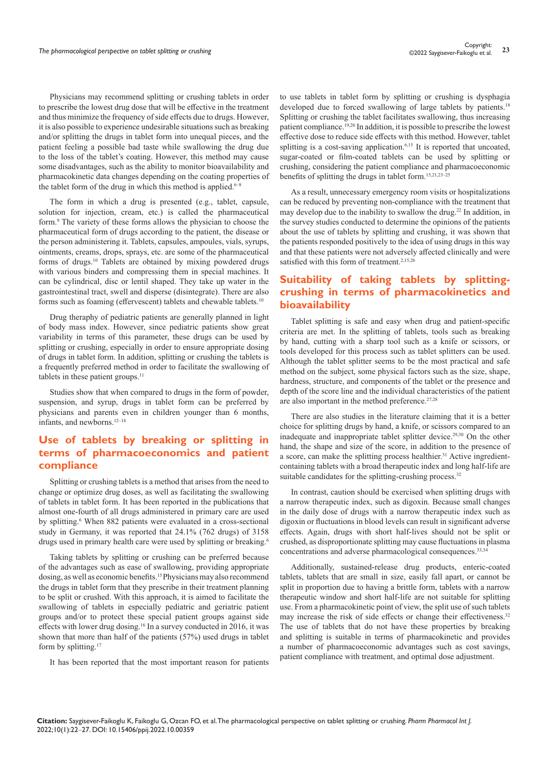Physicians may recommend splitting or crushing tablets in order to prescribe the lowest drug dose that will be effective in the treatment and thus minimize the frequency of side effects due to drugs. However, it is also possible to experience undesirable situations such as breaking and/or splitting the drugs in tablet form into unequal pieces, and the patient feeling a possible bad taste while swallowing the drug due to the loss of the tablet's coating. However, this method may cause some disadvantages, such as the ability to monitor bioavailability and pharmacokinetic data changes depending on the coating properties of the tablet form of the drug in which this method is applied.<sup>6-8</sup>

The form in which a drug is presented (e.g., tablet, capsule, solution for injection, cream, etc.) is called the pharmaceutical form.9 The variety of these forms allows the physician to choose the pharmaceutical form of drugs according to the patient, the disease or the person administering it. Tablets, capsules, ampoules, vials, syrups, ointments, creams, drops, sprays, etc. are some of the pharmaceutical forms of drugs.10 Tablets are obtained by mixing powdered drugs with various binders and compressing them in special machines. It can be cylindrical, disc or lentil shaped. They take up water in the gastrointestinal tract, swell and disperse (disintegrate). There are also forms such as foaming (effervescent) tablets and chewable tablets.<sup>10</sup>

Drug theraphy of pediatric patients are generally planned in light of body mass index. However, since pediatric patients show great variability in terms of this parameter, these drugs can be used by splitting or crushing, especially in order to ensure appropriate dosing of drugs in tablet form. In addition, splitting or crushing the tablets is a frequently preferred method in order to facilitate the swallowing of tablets in these patient groups.<sup>11</sup>

Studies show that when compared to drugs in the form of powder, suspension, and syrup, drugs in tablet form can be preferred by physicians and parents even in children younger than 6 months, infants, and newborns.12–14

# **Use of tablets by breaking or splitting in terms of pharmacoeconomics and patient compliance**

Splitting or crushing tablets is a method that arises from the need to change or optimize drug doses, as well as facilitating the swallowing of tablets in tablet form. It has been reported in the publications that almost one-fourth of all drugs administered in primary care are used by splitting.<sup>6</sup> When 882 patients were evaluated in a cross-sectional study in Germany, it was reported that 24.1% (762 drugs) of 3158 drugs used in primary health care were used by splitting or breaking.<sup>6</sup>

Taking tablets by splitting or crushing can be preferred because of the advantages such as ease of swallowing, providing appropriate dosing, as well as economic benefits.15 Physicians may also recommend the drugs in tablet form that they prescribe in their treatment planning to be split or crushed. With this approach, it is aimed to facilitate the swallowing of tablets in especially pediatric and geriatric patient groups and/or to protect these special patient groups against side effects with lower drug dosing.16 In a survey conducted in 2016, it was shown that more than half of the patients (57%) used drugs in tablet form by splitting.<sup>17</sup>

It has been reported that the most important reason for patients

to use tablets in tablet form by splitting or crushing is dysphagia developed due to forced swallowing of large tablets by patients.<sup>18</sup> Splitting or crushing the tablet facilitates swallowing, thus increasing patient compliance.19,20 In addition, it is possible to prescribe the lowest effective dose to reduce side effects with this method. However, tablet splitting is a cost-saving application.<sup>6,15</sup> It is reported that uncoated, sugar-coated or film-coated tablets can be used by splitting or crushing, considering the patient compliance and pharmacoeconomic benefits of splitting the drugs in tablet form.15,21,23–25

As a result, unnecessary emergency room visits or hospitalizations can be reduced by preventing non-compliance with the treatment that may develop due to the inability to swallow the drug.22 In addition, in the survey studies conducted to determine the opinions of the patients about the use of tablets by splitting and crushing, it was shown that the patients responded positively to the idea of using drugs in this way and that these patients were not adversely affected clinically and were satisfied with this form of treatment.<sup>2,15,26</sup>

# **Suitability of taking tablets by splittingcrushing in terms of pharmacokinetics and bioavailability**

Tablet splitting is safe and easy when drug and patient-specific criteria are met. In the splitting of tablets, tools such as breaking by hand, cutting with a sharp tool such as a knife or scissors, or tools developed for this process such as tablet splitters can be used. Although the tablet splitter seems to be the most practical and safe method on the subject, some physical factors such as the size, shape, hardness, structure, and components of the tablet or the presence and depth of the score line and the individual characteristics of the patient are also important in the method preference. $27,28$ 

There are also studies in the literature claiming that it is a better choice for splitting drugs by hand, a knife, or scissors compared to an inadequate and inappropriate tablet splitter device.<sup>29,30</sup> On the other hand, the shape and size of the score, in addition to the presence of a score, can make the splitting process healthier.<sup>31</sup> Active ingredientcontaining tablets with a broad therapeutic index and long half-life are suitable candidates for the splitting-crushing process.<sup>32</sup>

In contrast, caution should be exercised when splitting drugs with a narrow therapeutic index, such as digoxin. Because small changes in the daily dose of drugs with a narrow therapeutic index such as digoxin or fluctuations in blood levels can result in significant adverse effects. Again, drugs with short half-lives should not be split or crushed, as disproportionate splitting may cause fluctuations in plasma concentrations and adverse pharmacological consequences.33,34

Additionally, sustained-release drug products, enteric-coated tablets, tablets that are small in size, easily fall apart, or cannot be split in proportion due to having a brittle form, tablets with a narrow therapeutic window and short half-life are not suitable for splitting use. From a pharmacokinetic point of view, the split use of such tablets may increase the risk of side effects or change their effectiveness.<sup>32</sup> The use of tablets that do not have these properties by breaking and splitting is suitable in terms of pharmacokinetic and provides a number of pharmacoeconomic advantages such as cost savings, patient compliance with treatment, and optimal dose adjustment.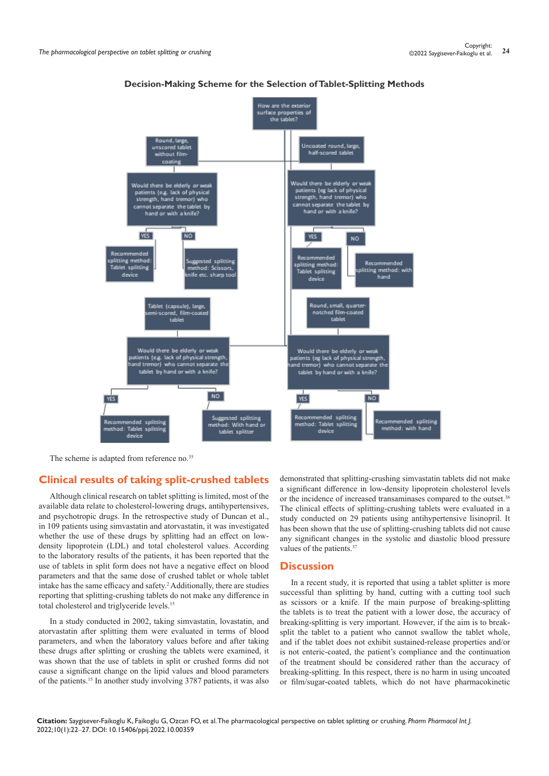

**Decision-Making Scheme for the Selection of Tablet-Splitting Methods**

The scheme is adapted from reference no.<sup>35</sup>

## **Clinical results of taking split-crushed tablets**

Although clinical research on tablet splitting is limited, most of the available data relate to cholesterol-lowering drugs, antihypertensives, and psychotropic drugs. In the retrospective study of Duncan et al., in 109 patients using simvastatin and atorvastatin, it was investigated whether the use of these drugs by splitting had an effect on lowdensity lipoprotein (LDL) and total cholesterol values. According to the laboratory results of the patients, it has been reported that the use of tablets in split form does not have a negative effect on blood parameters and that the same dose of crushed tablet or whole tablet intake has the same efficacy and safety.<sup>2</sup> Additionally, there are studies reporting that splitting-crushing tablets do not make any difference in total cholesterol and triglyceride levels.<sup>15</sup>

In a study conducted in 2002, taking simvastatin, lovastatin, and atorvastatin after splitting them were evaluated in terms of blood parameters, and when the laboratory values before and after taking these drugs after splitting or crushing the tablets were examined, it was shown that the use of tablets in split or crushed forms did not cause a significant change on the lipid values and blood parameters of the patients.15 In another study involving 3787 patients, it was also

demonstrated that splitting-crushing simvastatin tablets did not make a significant difference in low-density lipoprotein cholesterol levels or the incidence of increased transaminases compared to the outset.<sup>36</sup> The clinical effects of splitting-crushing tablets were evaluated in a study conducted on 29 patients using antihypertensive lisinopril. It has been shown that the use of splitting-crushing tablets did not cause any significant changes in the systolic and diastolic blood pressure values of the patients.<sup>37</sup>

### **Discussion**

In a recent study, it is reported that using a tablet splitter is more successful than splitting by hand, cutting with a cutting tool such as scissors or a knife. If the main purpose of breaking-splitting the tablets is to treat the patient with a lower dose, the accuracy of breaking-splitting is very important. However, if the aim is to breaksplit the tablet to a patient who cannot swallow the tablet whole, and if the tablet does not exhibit sustained-release properties and/or is not enteric-coated, the patient's compliance and the continuation of the treatment should be considered rather than the accuracy of breaking-splitting. In this respect, there is no harm in using uncoated or film/sugar-coated tablets, which do not have pharmacokinetic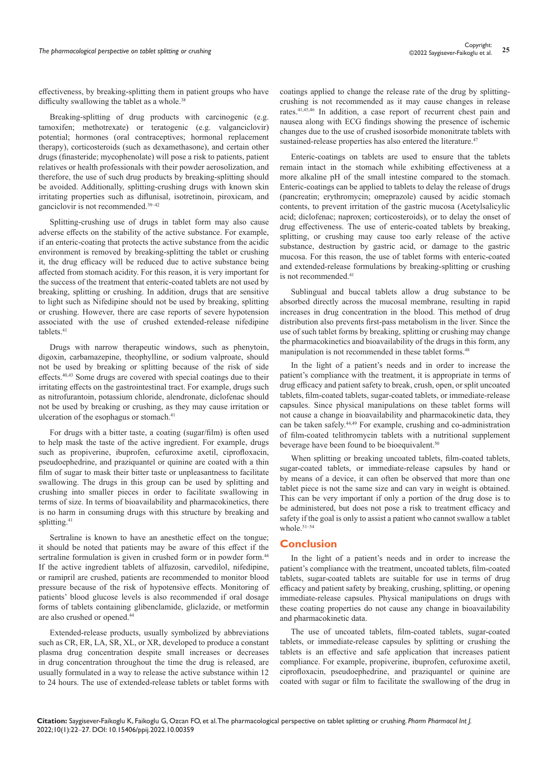Breaking-splitting of drug products with carcinogenic (e.g. tamoxifen; methotrexate) or teratogenic (e.g. valganciclovir) potential; hormones (oral contraceptives; hormonal replacement therapy), corticosteroids (such as dexamethasone), and certain other drugs (finasteride; mycophenolate) will pose a risk to patients, patient relatives or health professionals with their powder aerosolization, and therefore, the use of such drug products by breaking-splitting should be avoided. Additionally, splitting-crushing drugs with known skin irritating properties such as diflunisal, isotretinoin, piroxicam, and ganciclovir is not recommended.39–42

Splitting-crushing use of drugs in tablet form may also cause adverse effects on the stability of the active substance. For example, if an enteric-coating that protects the active substance from the acidic environment is removed by breaking-splitting the tablet or crushing it, the drug efficacy will be reduced due to active substance being affected from stomach acidity. For this reason, it is very important for the success of the treatment that enteric-coated tablets are not used by breaking, splitting or crushing. In addition, drugs that are sensitive to light such as Nifedipine should not be used by breaking, splitting or crushing. However, there are case reports of severe hypotension associated with the use of crushed extended-release nifedipine tablets.<sup>41</sup>

Drugs with narrow therapeutic windows, such as phenytoin, digoxin, carbamazepine, theophylline, or sodium valproate, should not be used by breaking or splitting because of the risk of side effects.40,43 Some drugs are covered with special coatings due to their irritating effects on the gastrointestinal tract. For example, drugs such as nitrofurantoin, potassium chloride, alendronate, diclofenac should not be used by breaking or crushing, as they may cause irritation or ulceration of the esophagus or stomach.<sup>41</sup>

For drugs with a bitter taste, a coating (sugar/film) is often used to help mask the taste of the active ingredient. For example, drugs such as propiverine, ibuprofen, cefuroxime axetil, ciprofloxacin, pseudoephedrine, and praziquantel or quinine are coated with a thin film of sugar to mask their bitter taste or unpleasantness to facilitate swallowing. The drugs in this group can be used by splitting and crushing into smaller pieces in order to facilitate swallowing in terms of size. In terms of bioavailability and pharmacokinetics, there is no harm in consuming drugs with this structure by breaking and splitting.<sup>41</sup>

Sertraline is known to have an anesthetic effect on the tongue; it should be noted that patients may be aware of this effect if the sertraline formulation is given in crushed form or in powder form.<sup>44</sup> If the active ingredient tablets of alfuzosin, carvedilol, nifedipine, or ramipril are crushed, patients are recommended to monitor blood pressure because of the risk of hypotensive effects. Monitoring of patients' blood glucose levels is also recommended if oral dosage forms of tablets containing glibenclamide, gliclazide, or metformin are also crushed or opened.<sup>4</sup>

Extended-release products, usually symbolized by abbreviations such as CR, ER, LA, SR, XL, or XR, developed to produce a constant plasma drug concentration despite small increases or decreases in drug concentration throughout the time the drug is released, are usually formulated in a way to release the active substance within 12 to 24 hours. The use of extended-release tablets or tablet forms with

coatings applied to change the release rate of the drug by splittingcrushing is not recommended as it may cause changes in release rates.41,45,46 In addition, a case report of recurrent chest pain and nausea along with ECG findings showing the presence of ischemic changes due to the use of crushed isosorbide mononitrate tablets with sustained-release properties has also entered the literature.<sup>47</sup>

Enteric-coatings on tablets are used to ensure that the tablets remain intact in the stomach while exhibiting effectiveness at a more alkaline pH of the small intestine compared to the stomach. Enteric-coatings can be applied to tablets to delay the release of drugs (pancreatin; erythromycin; omeprazole) caused by acidic stomach contents, to prevent irritation of the gastric mucosa (Acetylsalicylic acid; diclofenac; naproxen; corticosteroids), or to delay the onset of drug effectiveness. The use of enteric-coated tablets by breaking, splitting, or crushing may cause too early release of the active substance, destruction by gastric acid, or damage to the gastric mucosa. For this reason, the use of tablet forms with enteric-coated and extended-release formulations by breaking-splitting or crushing is not recommended.<sup>41</sup>

Sublingual and buccal tablets allow a drug substance to be absorbed directly across the mucosal membrane, resulting in rapid increases in drug concentration in the blood. This method of drug distribution also prevents first-pass metabolism in the liver. Since the use of such tablet forms by breaking, splitting or crushing may change the pharmacokinetics and bioavailability of the drugs in this form, any manipulation is not recommended in these tablet forms.<sup>48</sup>

In the light of a patient's needs and in order to increase the patient's compliance with the treatment, it is appropriate in terms of drug efficacy and patient safety to break, crush, open, or split uncoated tablets, film-coated tablets, sugar-coated tablets, or immediate-release capsules. Since physical manipulations on these tablet forms will not cause a change in bioavailability and pharmacokinetic data, they can be taken safely.44,49 For example, crushing and co-administration of film-coated telithromycin tablets with a nutritional supplement beverage have been found to be bioequivalent.<sup>50</sup>

When splitting or breaking uncoated tablets, film-coated tablets, sugar-coated tablets, or immediate-release capsules by hand or by means of a device, it can often be observed that more than one tablet piece is not the same size and can vary in weight is obtained. This can be very important if only a portion of the drug dose is to be administered, but does not pose a risk to treatment efficacy and safety if the goal is only to assist a patient who cannot swallow a tablet whole.51–54

## **Conclusion**

In the light of a patient's needs and in order to increase the patient's compliance with the treatment, uncoated tablets, film-coated tablets, sugar-coated tablets are suitable for use in terms of drug efficacy and patient safety by breaking, crushing, splitting, or opening immediate-release capsules. Physical manipulations on drugs with these coating properties do not cause any change in bioavailability and pharmacokinetic data.

The use of uncoated tablets, film-coated tablets, sugar-coated tablets, or immediate-release capsules by splitting or crushing the tablets is an effective and safe application that increases patient compliance. For example, propiverine, ibuprofen, cefuroxime axetil, ciprofloxacin, pseudoephedrine, and praziquantel or quinine are coated with sugar or film to facilitate the swallowing of the drug in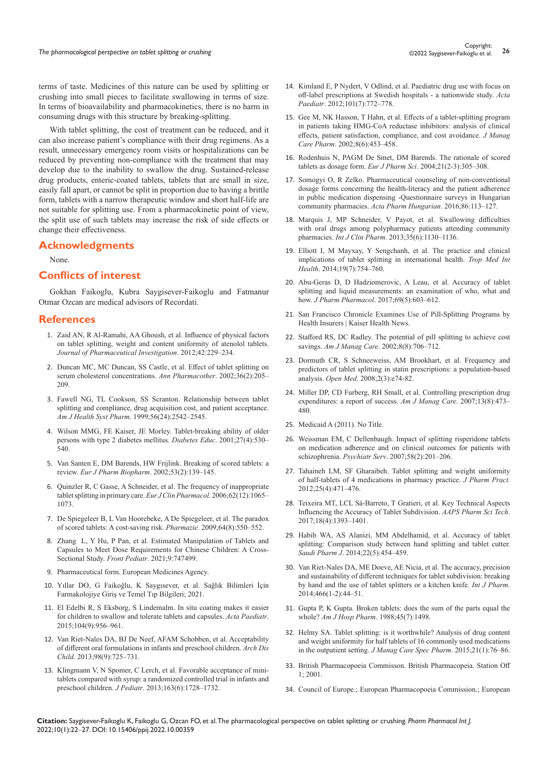terms of taste. Medicines of this nature can be used by splitting or crushing into small pieces to facilitate swallowing in terms of size. In terms of bioavailability and pharmacokinetics, there is no harm in consuming drugs with this structure by breaking-splitting.

With tablet splitting, the cost of treatment can be reduced, and it can also increase patient's compliance with their drug regimens. As a result, unnecessary emergency room visits or hospitalizations can be reduced by preventing non-compliance with the treatment that may develop due to the inability to swallow the drug. Sustained-release drug products, enteric-coated tablets, tablets that are small in size, easily fall apart, or cannot be split in proportion due to having a brittle form, tablets with a narrow therapeutic window and short half-life are not suitable for splitting use. From a pharmacokinetic point of view, the split use of such tablets may increase the risk of side effects or change their effectiveness.

## **Acknowledgments**

None.

## **Conflicts of interest**

Gokhan Faikoglu, Kubra Saygisever-Faikoglu and Fatmanur Otmar Ozcan are medical advisors of Recordati.

#### **References**

- 1. [Zaid AN, R Al-Ramahi, AA Ghoush, et al. Influence of physical factors](https://link.springer.com/article/10.1007/s40005-012-0030-7)  [on tablet splitting, weight and content uniformity of atenolol tablets.](https://link.springer.com/article/10.1007/s40005-012-0030-7) *[Journal of Pharmaceutical Investigation](https://link.springer.com/article/10.1007/s40005-012-0030-7)*. 2012;42:229–234.
- 2. [Duncan MC, MC Duncan, SS Castle, et al. Effect of tablet splitting on](https://pubmed.ncbi.nlm.nih.gov/11847935/)  [serum cholesterol concentrations.](https://pubmed.ncbi.nlm.nih.gov/11847935/) *Ann Pharmacother*. 2002;36(2):205– [209.](https://pubmed.ncbi.nlm.nih.gov/11847935/)
- 3. [Fawell NG, TL Cookson, SS Scranton. Relationship between tablet](https://pubmed.ncbi.nlm.nih.gov/10613374/)  [splitting and compliance, drug acquisition cost, and patient acceptance.](https://pubmed.ncbi.nlm.nih.gov/10613374/)  *Am J Health Syst Pharm*[. 1999;56\(24\):2542–2545.](https://pubmed.ncbi.nlm.nih.gov/10613374/)
- 4. [Wilson MMG, FE Kaiser, JE Morley. Tablet-breaking ability of older](https://pubmed.ncbi.nlm.nih.gov/12212341/)  [persons with type 2 diabetes mellitus.](https://pubmed.ncbi.nlm.nih.gov/12212341/) *Diabetes Educ*. 2001;27(4):530– [540.](https://pubmed.ncbi.nlm.nih.gov/12212341/)
- 5. [Van Santen E, DM Barends, HW Frijlink. Breaking of scored tablets: a](https://pubmed.ncbi.nlm.nih.gov/11879995/)  review. *[Eur J Pharm Biopharm](https://pubmed.ncbi.nlm.nih.gov/11879995/)*. 2002;53(2):139–145.
- 6. [Quinzler R, C Gasse, A Schneider, et al. The frequency of inappropriate](https://pubmed.ncbi.nlm.nih.gov/17024485/)  [tablet splitting in primary care.](https://pubmed.ncbi.nlm.nih.gov/17024485/) *Eur J Clin Pharmacol*. 2006;62(12):1065– [1073.](https://pubmed.ncbi.nlm.nih.gov/17024485/)
- 7. [De Spiegeleer B, L Van Hoorebeke, A De Spiegeleer, et al. The paradox](https://pubmed.ncbi.nlm.nih.gov/19746847/)  [of scored tablets: A cost-saving risk.](https://pubmed.ncbi.nlm.nih.gov/19746847/) *Pharmazie*. 2009;64(8):550–552.
- 8. [Zhang L, Y Hu, P Pan, et al. Estimated Manipulation of Tablets and](https://pubmed.ncbi.nlm.nih.gov/34778137/)  [Capsules to Meet Dose Requirements for Chinese Children: A Cross-](https://pubmed.ncbi.nlm.nih.gov/34778137/)Sectional Study. *Front Pediatr*[. 2021;9:747499.](https://pubmed.ncbi.nlm.nih.gov/34778137/)
- 9. Pharmaceutical form. European Medicines Agency.
- 10. [Yıllar DO, G Faikoğlu, K Saygısever, et al. Sağlık Bilimleri İçin](https://istanbultip.com.tr/urun/saglik-bilimleri-icin-farmakolojiye-giris-ve-temel-tip-bilgileri/)  [Farmakolojiye Giriş ve Temel Tıp Bilgileri; 2021.](https://istanbultip.com.tr/urun/saglik-bilimleri-icin-farmakolojiye-giris-ve-temel-tip-bilgileri/)
- 11. [El Edelbi R, S Eksborg, S Lindemalm. In situ coating makes it easier](https://pubmed.ncbi.nlm.nih.gov/25982837/)  [for children to swallow and tolerate tablets and capsules.](https://pubmed.ncbi.nlm.nih.gov/25982837/) *Acta Paediatr*. [2015;104\(9\):956–961.](https://pubmed.ncbi.nlm.nih.gov/25982837/)
- 12. [Van Riet-Nales DA, BJ De Neef, AFAM Schobben, et al. Acceptability](https://pubmed.ncbi.nlm.nih.gov/23853004/)  [of different oral formulations in infants and preschool children.](https://pubmed.ncbi.nlm.nih.gov/23853004/) *Arch Dis Child*[. 2013;98\(9\):725–731.](https://pubmed.ncbi.nlm.nih.gov/23853004/)
- 13. [Klingmann V, N Spomer, C Lerch, et al. Favorable acceptance of mini](https://pubmed.ncbi.nlm.nih.gov/23972645/)[tablets compared with syrup: a randomized controlled trial in infants and](https://pubmed.ncbi.nlm.nih.gov/23972645/)  preschool children. *J Pediatr*[. 2013;163\(6\):1728–1732.](https://pubmed.ncbi.nlm.nih.gov/23972645/)
- 14. [Kimland E, P Nydert, V Odlind, et al. Paediatric drug use with focus on](https://pubmed.ncbi.nlm.nih.gov/22404126/)  [off-label prescriptions at Swedish hospitals - a nationwide study.](https://pubmed.ncbi.nlm.nih.gov/22404126/) *Acta Paediatr*[. 2012;101\(7\):772–778.](https://pubmed.ncbi.nlm.nih.gov/22404126/)
- 15. [Gee M, NK Hasson, T Hahn, et al. Effects of a tablet-splitting program](https://pubmed.ncbi.nlm.nih.gov/14613379/)  [in patients taking HMG-CoA reductase inhibitors: analysis of clinical](https://pubmed.ncbi.nlm.nih.gov/14613379/)  [effects, patient satisfaction, compliance, and cost avoidance.](https://pubmed.ncbi.nlm.nih.gov/14613379/) *J Manag Care Pharm*[. 2002;8\(6\):453–458.](https://pubmed.ncbi.nlm.nih.gov/14613379/)
- 16. [Rodenhuis N, PAGM De Smet, DM Barends. The rationale of scored](https://pubmed.ncbi.nlm.nih.gov/14757502/)  tablets as dosage form. *Eur J Pharm Sci*[. 2004;21\(2-3\):305–308.](https://pubmed.ncbi.nlm.nih.gov/14757502/)
- 17. Somogyi O, R Zelko. Pharmaceutical counseling of non-conventional dosage forms concerning the health-literacy and the patient adherence in public medication dispensing -Questionnaire surveys in Hungarian community pharmacies. *Acta Pharm Hungarian*. 2016;86:113–127.
- 18. [Marquis J, MP Schneider, V Payot, et al. Swallowing difficulties](https://pubmed.ncbi.nlm.nih.gov/23963541/)  [with oral drugs among polypharmacy patients attending community](https://pubmed.ncbi.nlm.nih.gov/23963541/)  pharmacies. *Int J Clin Pharm*[. 2013;35\(6\):1130–1136.](https://pubmed.ncbi.nlm.nih.gov/23963541/)
- 19. [Elliott I, M Mayxay, Y Sengchanh, et al. The practice and clinical](https://pubmed.ncbi.nlm.nih.gov/24702766/)  [implications of tablet splitting in international health.](https://pubmed.ncbi.nlm.nih.gov/24702766/) *Trop Med Int Health*[. 2014;19\(7\):754–760.](https://pubmed.ncbi.nlm.nih.gov/24702766/)
- 20. [Abu-Geras D, D Hadziomerovic, A Leau, et al. Accuracy of tablet](https://pubmed.ncbi.nlm.nih.gov/28028813)  [splitting and liquid measurements: an examination of who, what and](https://pubmed.ncbi.nlm.nih.gov/28028813)  how. *J Pharm Pharmacol*[. 2017;69\(5\):603–612.](https://pubmed.ncbi.nlm.nih.gov/28028813)
- 21. San Francisco Chronicle Examines Use of Pill-Splitting Programs by Health Insurers | Kaiser Health News.
- 22. [Stafford RS, DC Radley. The potential of pill splitting to achieve cost](https://pubmed.ncbi.nlm.nih.gov/12212758)  savings. *Am J Manag Care*[. 2002;8\(8\):706–712.](https://pubmed.ncbi.nlm.nih.gov/12212758)
- 23. [Dormuth CR, S Schneeweiss, AM Brookhart, et al. Frequency and](https://pubmed.ncbi.nlm.nih.gov/21602952/)  [predictors of tablet splitting in statin prescriptions: a population-based](https://pubmed.ncbi.nlm.nih.gov/21602952/)  analysis. *Open Med*[. 2008;2\(3\):e74-82.](https://pubmed.ncbi.nlm.nih.gov/21602952/)
- 24. [Miller DP, CD Furberg, RH Small, et al. Controlling prescription drug](https://pubmed.ncbi.nlm.nih.gov/17685828/)  [expenditures: a report of success.](https://pubmed.ncbi.nlm.nih.gov/17685828/) *Am J Manag Care*. 2007;13(8):473– [480.](https://pubmed.ncbi.nlm.nih.gov/17685828/)
- 25. Medicaid A (2011). No Title.
- 26. [Weissman EM, C Dellenbaugh. Impact of splitting risperidone tablets](https://pubmed.ncbi.nlm.nih.gov/17287376)  [on medication adherence and on clinical outcomes for patients with](https://pubmed.ncbi.nlm.nih.gov/17287376)  schizophrenia. *Psychiatr Serv*[. 2007;58\(2\):201–206.](https://pubmed.ncbi.nlm.nih.gov/17287376)
- 27. [Tahaineh LM, SF Gharaibeh. Tablet splitting and weight uniformity](https://pubmed.ncbi.nlm.nih.gov/22544621/)  [of half-tablets of 4 medications in pharmacy practice.](https://pubmed.ncbi.nlm.nih.gov/22544621/) *J Pharm Pract.* [2012;25\(4\):471–476.](https://pubmed.ncbi.nlm.nih.gov/22544621/)
- 28. [Teixeira MT, LCL Sá-Barreto, T Gratieri, et al. Key Technical Aspects](https://pubmed.ncbi.nlm.nih.gov/27586963/)  [Influencing the Accuracy of Tablet Subdivision.](https://pubmed.ncbi.nlm.nih.gov/27586963/) *AAPS Pharm Sci Tech*. [2017;18\(4\):1393–1401.](https://pubmed.ncbi.nlm.nih.gov/27586963/)
- 29. [Habib WA, AS Alanizi, MM Abdelhamid, et al. Accuracy of tablet](https://pubmed.ncbi.nlm.nih.gov/25473334/)  [splitting: Comparison study between hand splitting and tablet cutter.](https://pubmed.ncbi.nlm.nih.gov/25473334/)  *Saudi Pharm J*[. 2014;22\(5\):454–459.](https://pubmed.ncbi.nlm.nih.gov/25473334/)
- 30. [Van Riet-Nales DA, ME Doeve, AE Nicia, et al. The accuracy, precision](https://pubmed.ncbi.nlm.nih.gov/24561329/)  [and sustainability of different techniques for tablet subdivision: breaking](https://pubmed.ncbi.nlm.nih.gov/24561329/)  [by hand and the use of tablet splitters or a kitchen knife.](https://pubmed.ncbi.nlm.nih.gov/24561329/) *Int J Pharm*. [2014;466\(1-2\):44–51.](https://pubmed.ncbi.nlm.nih.gov/24561329/)
- 31. [Gupta P, K Gupta. Broken tablets: does the sum of the parts equal the](https://pubmed.ncbi.nlm.nih.gov/3414713/)  whole? *Am J Hosp Pharm*[. 1988;45\(7\):1498.](https://pubmed.ncbi.nlm.nih.gov/3414713/)
- 32. [Helmy SA. Tablet splitting: is it worthwhile? Analysis of drug content](https://pubmed.ncbi.nlm.nih.gov/25562775/)  [and weight uniformity for half tablets of 16 commonly used medications](https://pubmed.ncbi.nlm.nih.gov/25562775/)  in the outpatient setting. *[J Manag Care Spec Pharm](https://pubmed.ncbi.nlm.nih.gov/25562775/)*. 2015;21(1):76–86.
- 33. British Pharmacopoeia Commisson. British Pharmacopeia. Station Off 1; 2001.
- 34. Council of Europe.; European Pharmacopoeia Commission.; European

**Citation:** Saygisever-Faikoglu K, Faikoglu G, Ozcan FO, et al. The pharmacological perspective on tablet splitting or crushing. *Pharm Pharmacol Int J.*  2022;10(1):22‒27. DOI: [10.15406/ppij.2022.10.00359](https://doi.org/10.15406/ppij.2022.10.00359)